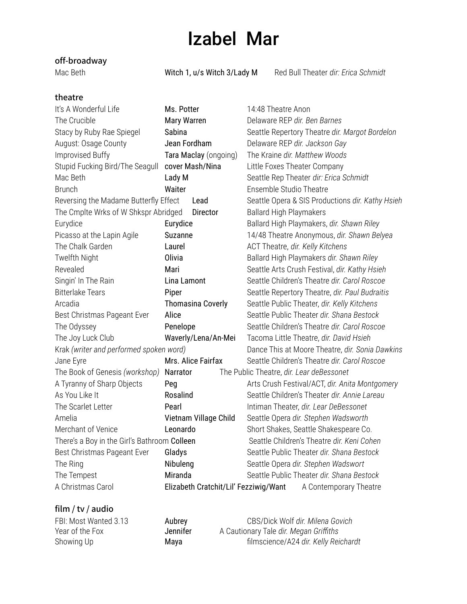# Izabel Mar

### **off-broadway**

Mac Beth Witch 1, u/s Witch 3/Lady M Red Bull Theater *dir: Erica Schmidt* 

### **theatre**

| It's A Wonderful Life                         | Ms. Potter                            | 14:48 Theatre Anon                               |  |
|-----------------------------------------------|---------------------------------------|--------------------------------------------------|--|
| The Crucible                                  | Mary Warren                           | Delaware REP dir. Ben Barnes                     |  |
| Stacy by Ruby Rae Spiegel                     | Sabina                                | Seattle Repertory Theatre dir. Margot Bordelon   |  |
| August: Osage County                          | Jean Fordham                          | Delaware REP dir. Jackson Gay                    |  |
| Improvised Buffy                              | Tara Maclay (ongoing)                 | The Kraine dir. Matthew Woods                    |  |
| Stupid Fucking Bird/The Seagull               | cover Mash/Nina                       | Little Foxes Theater Company                     |  |
| Mac Beth                                      | Lady M                                | Seattle Rep Theater dir: Erica Schmidt           |  |
| <b>Brunch</b>                                 | Waiter                                | Ensemble Studio Theatre                          |  |
| Reversing the Madame Butterfly Effect<br>Lead |                                       | Seattle Opera & SIS Productions dir. Kathy Hsieh |  |
| The Cmplte Wrks of W Shkspr Abridged          | Director                              | <b>Ballard High Playmakers</b>                   |  |
| Eurydice                                      | Eurydice                              | Ballard High Playmakers, dir. Shawn Riley        |  |
| Picasso at the Lapin Agile                    | Suzanne                               | 14/48 Theatre Anonymous, dir. Shawn Belyea       |  |
| The Chalk Garden                              | Laurel                                | ACT Theatre, dir. Kelly Kitchens                 |  |
| Twelfth Night                                 | Olivia                                | Ballard High Playmakers dir. Shawn Riley         |  |
| Revealed                                      | Mari                                  | Seattle Arts Crush Festival, dir. Kathy Hsieh    |  |
| Singin' In The Rain                           | Lina Lamont                           | Seattle Children's Theatre dir. Carol Roscoe     |  |
| <b>Bitterlake Tears</b>                       | Piper                                 | Seattle Repertory Theatre, dir. Paul Budraitis   |  |
| Arcadia                                       | <b>Thomasina Coverly</b>              | Seattle Public Theater, dir. Kelly Kitchens      |  |
| Best Christmas Pageant Ever                   | Alice                                 | Seattle Public Theater dir. Shana Bestock        |  |
| The Odyssey                                   | Penelope                              | Seattle Children's Theatre dir. Carol Roscoe     |  |
| The Joy Luck Club                             | Waverly/Lena/An-Mei                   | Tacoma Little Theatre, dir. David Hsieh          |  |
| Krak (writer and performed spoken word)       |                                       | Dance This at Moore Theatre, dir. Sonia Dawkins  |  |
| Mrs. Alice Fairfax<br>Jane Eyre               |                                       | Seattle Children's Theatre dir. Carol Roscoe     |  |
| The Book of Genesis (workshop)                | Narrator                              | The Public Theatre, dir. Lear deBessonet         |  |
| A Tyranny of Sharp Objects                    | Peg                                   | Arts Crush Festival/ACT, dir. Anita Montgomery   |  |
| As You Like It                                | Rosalind                              | Seattle Children's Theater dir. Annie Lareau     |  |
| The Scarlet Letter                            | Pearl                                 | Intiman Theater, dir. Lear DeBessonet            |  |
| Amelia                                        | Vietnam Village Child                 | Seattle Opera dir. Stephen Wadsworth             |  |
| Merchant of Venice                            | Leonardo                              | Short Shakes, Seattle Shakespeare Co.            |  |
| There's a Boy in the Girl's Bathroom Colleen  |                                       | Seattle Children's Theatre dir. Keni Cohen       |  |
| Best Christmas Pageant Ever                   | Gladys                                | Seattle Public Theater dir. Shana Bestock        |  |
| The Ring                                      | Nibuleng                              | Seattle Opera dir. Stephen Wadswort              |  |
| The Tempest                                   | Miranda                               | Seattle Public Theater dir. Shana Bestock        |  |
| A Christmas Carol                             | Elizabeth Cratchit/Lil' Fezziwig/Want | A Contemporary Theatre                           |  |

#### **film / tv / audio**

| FBI: Most Wanted 3.13 | Aubrey   | CBS/Dick Wolf dir. Milena Govich       |
|-----------------------|----------|----------------------------------------|
| Year of the Fox       | Jennifer | A Cautionary Tale dir. Megan Griffiths |
| Showing Up            | Maya     | filmscience/A24 dir. Kelly Reichardt   |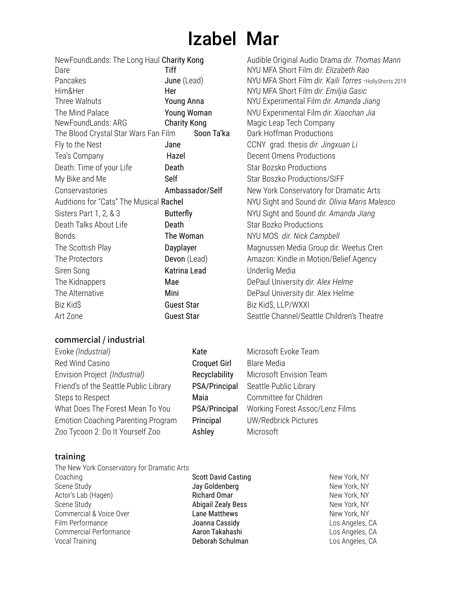# Izabel Mar

NewFoundLands: The Long Haul Charity Kong Audible Original Audio Drama *dir. Thomas Mann*

**NYU MFA Short Film** *dir. Kaili Torres* -HollyShorts 2019

Dare Tiff NYU MFA Short Film *dir. Elizabeth Rao*

Him&Her Her NYU MFA Short Film *dir. Emiljia Gasic* NYU Experimental Film *dir. Amanda Jiang* The Mind Palace Young Woman NYU Experimental Film *dir. Xiaochan Jia*

Fly to the Nest Jane CCNY grad. thesis *dir. Jingxuan Li*

New York Conservatory for Dramatic Arts Auditions for "Cats" The Musical Rachel NYU Sight and Sound *dir. Olivia Maris Malesco*

Sisters Part 1, 2, & 3 Butterfly NYU Sight and Sound *dir. Amanda Jiang*

Magnussen Media Group dir. Weetus Cren Amazon: Kindle in Motion/Belief Agency

Seattle Channel/Seattle Children's Theatre

DePaul University *dir. Alex Helme* DePaul University dir. Alex Helme

Decent Omens Productions Star Bozsko Productions Star Boszko Productions/SIFF

Star Bozko Productions  $NYU$  MOS *dir. Nick Campbell* 

| NewFoundLands: The Long Haul Charity Kong | Audible Original Audio Dran |                               |
|-------------------------------------------|-----------------------------|-------------------------------|
| Dare                                      | Tiff                        | NYU MFA Short Film dir. Eli.  |
| Pancakes                                  | June (Lead)                 | NYU MFA Short Film dir. Ka    |
| Him&Her                                   | Her                         | NYU MFA Short Film dir. En    |
| Three Walnuts                             | Young Anna                  | NYU Experimental Film dir.    |
| The Mind Palace                           | Young Woman                 | NYU Experimental Film dir.    |
| NewFoundLands: ARG                        | <b>Charity Kong</b>         | Magic Leap Tech Company       |
| The Blood Crystal Star Wars Fan Film      | Soon Ta'ka                  | Dark Hoffman Productions      |
| Fly to the Nest                           | Jane                        | CCNY grad. thesis dir. Jing   |
| Tea's Company                             | Hazel                       | Decent Omens Productions      |
| Death: Time of your Life                  | Death                       | Star Bozsko Productions       |
| My Bike and Me                            | Self                        | Star Boszko Productions/S     |
| Conservastories                           | Ambassador/Self             | New York Conservatory for     |
| Auditions for "Cats" The Musical Rachel   |                             | NYU Sight and Sound dir. O    |
| Sisters Part 1, 2, & 3                    | <b>Butterfly</b>            | NYU Sight and Sound dir. A.   |
| Death Talks About Life                    | Death                       | <b>Star Bozko Productions</b> |
| <b>Bonds</b>                              | The Woman                   | NYU MOS dir. Nick Campbe      |
| The Scottish Play                         | Dayplayer                   | Magnussen Media Group d       |
| The Protectors                            | Devon (Lead)                | Amazon: Kindle in Motion/I    |
| Siren Song                                | Katrina Lead                | Underlig Media                |
| The Kidnappers                            | Mae                         | DePaul University dir. Alex I |
| The Alternative                           | Mini                        | DePaul University dir. Alex I |
| Biz Kid\$                                 | <b>Guest Star</b>           | Biz Kid\$, LLP/WXXI           |
| Art Zone                                  | <b>Guest Star</b>           | Seattle Channel/Seattle Ch    |
|                                           |                             |                               |

#### **commercial / industrial**

| Evoke (Industrial)                        | Kate                | Microsoft Evoke Team            |
|-------------------------------------------|---------------------|---------------------------------|
| Red Wind Casino                           | <b>Croquet Girl</b> | <b>Blare Media</b>              |
| Envision Project (Industrial)             | Recyclability       | Microsoft Envision Team         |
| Friend's of the Seattle Public Library    | PSA/Principal       | Seattle Public Library          |
| Steps to Respect                          | Maia                | Committee for Children          |
| What Does The Forest Mean To You          | PSA/Principal       | Working Forest Assoc/Lenz Films |
| <b>Emotion Coaching Parenting Program</b> | Principal           | <b>UW/Redbrick Pictures</b>     |
| Zoo Tycoon 2: Do It Yourself Zoo          | Ashley              | Microsoft                       |
|                                           |                     |                                 |

#### **training**

| The New York Conservatory for Dramatic Arts |
|---------------------------------------------|
| Coaching                                    |
| Scene Study                                 |
| Actor's Lab (Hagen)                         |
| Scene Study                                 |
| Commercial & Voice Over                     |
| Film Performance                            |
| Commercial Performance                      |
| Vocal Training                              |
|                                             |

Scott David Casting New York, NY Jay Goldenberg New York, NY Richard Omar New York, NY Abigail Zealy Bess New York, NY Lane Matthews New York, NY Joanna Cassidy **Los Angeles, CA** Aaron Takahashi **Aaron Takahashi** Los Angeles, CA Deborah Schulman Los Angeles, CA